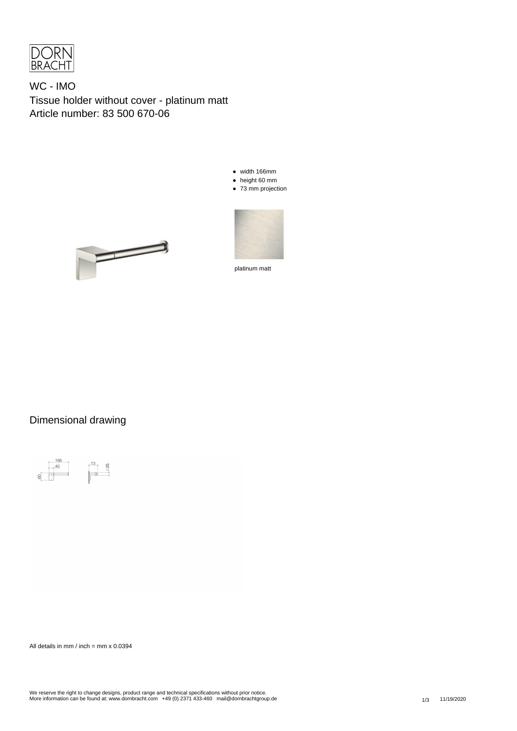

WC - IMO Tissue holder without cover - platinum matt Article number: 83 500 670-06

- width 166mm
- height 60 mm
- 73 mm projection





platinum matt

## Dimensional drawing



All details in mm / inch = mm  $x$  0.0394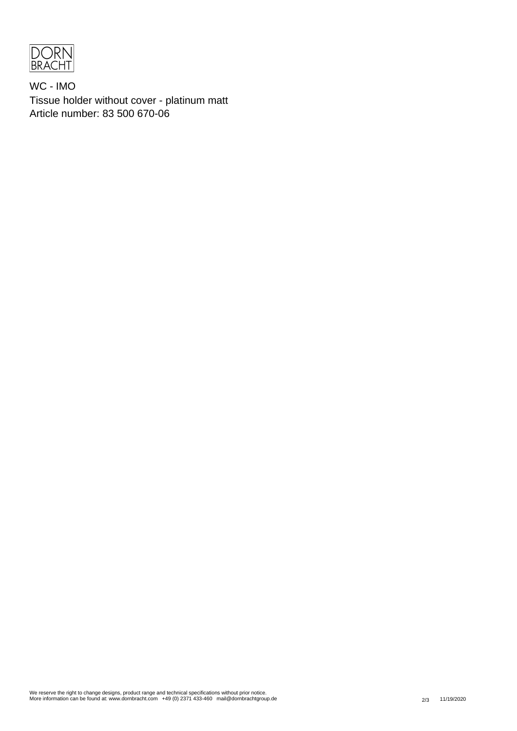

WC - IMO Tissue holder without cover - platinum matt Article number: 83 500 670-06